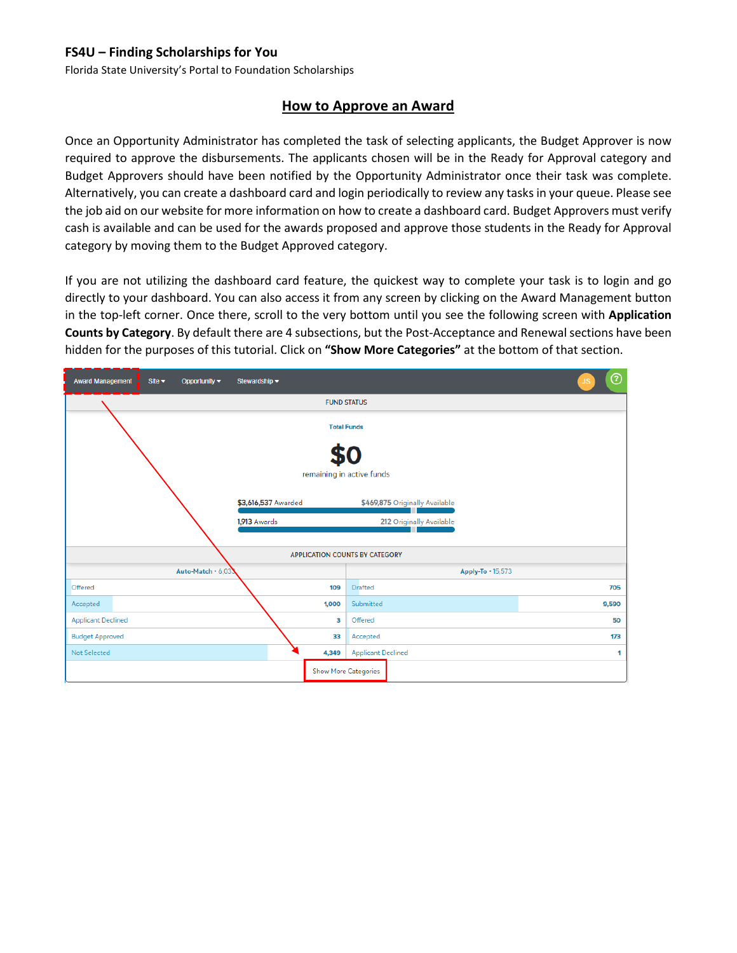Florida State University's Portal to Foundation Scholarships

#### **How to Approve an Award**

Once an Opportunity Administrator has completed the task of selecting applicants, the Budget Approver is now required to approve the disbursements. The applicants chosen will be in the Ready for Approval category and Budget Approvers should have been notified by the Opportunity Administrator once their task was complete. Alternatively, you can create a dashboard card and login periodically to review any tasks in your queue. Please see the job aid on our website for more information on how to create a dashboard card. Budget Approvers must verify cash is available and can be used for the awards proposed and approve those students in the Ready for Approval category by moving them to the Budget Approved category.

If you are not utilizing the dashboard card feature, the quickest way to complete your task is to login and go directly to your dashboard. You can also access it from any screen by clicking on the Award Management button in the top-left corner. Once there, scroll to the very bottom until you see the following screen with **Application Counts by Category**. By default there are 4 subsections, but the Post-Acceptance and Renewal sections have been hidden for the purposes of this tutorial. Click on **"Show More Categories"** at the bottom of that section.

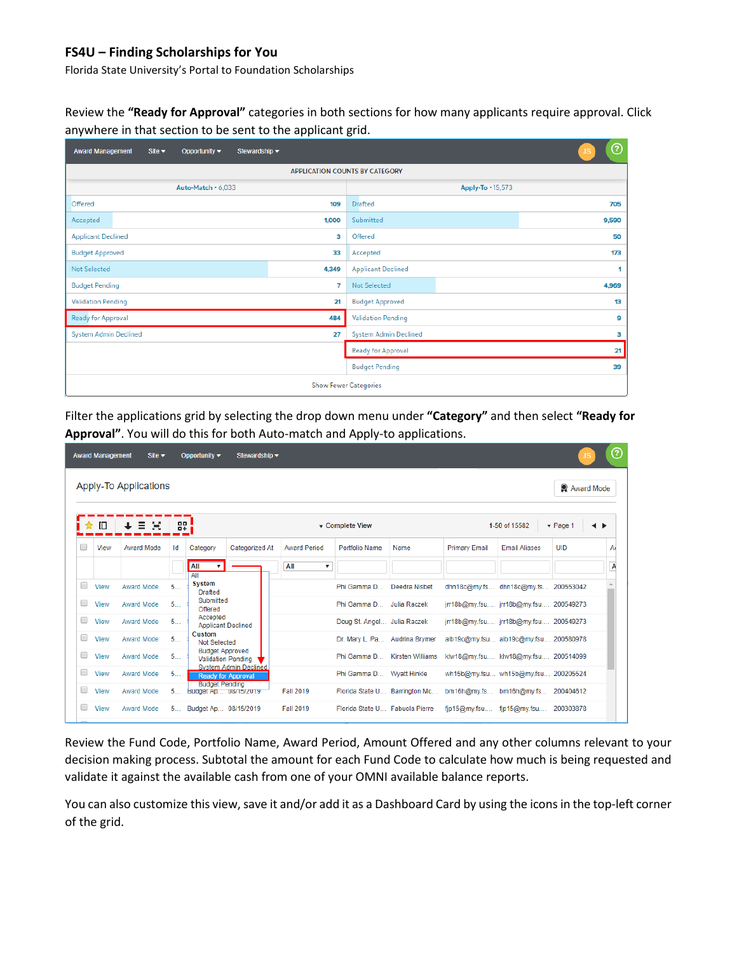Florida State University's Portal to Foundation Scholarships

Review the **"Ready for Approval"** categories in both sections for how many applicants require approval. Click anywhere in that section to be sent to the applicant grid.

| <b>Award Management</b><br>Stewardship ~<br>Opportunity $\blacktriangledown$<br>Site $\blacktriangleright$ | ℗<br><b>JS</b>                  |  |  |  |  |  |  |  |  |  |  |  |
|------------------------------------------------------------------------------------------------------------|---------------------------------|--|--|--|--|--|--|--|--|--|--|--|
| <b>APPLICATION COUNTS BY CATEGORY</b>                                                                      |                                 |  |  |  |  |  |  |  |  |  |  |  |
| Auto-Match . 6,033                                                                                         | Apply-To · 15,573               |  |  |  |  |  |  |  |  |  |  |  |
| <b>Offered</b>                                                                                             | <b>Drafted</b>                  |  |  |  |  |  |  |  |  |  |  |  |
| 109                                                                                                        | 705                             |  |  |  |  |  |  |  |  |  |  |  |
| 1,000                                                                                                      | Submitted                       |  |  |  |  |  |  |  |  |  |  |  |
| Accepted                                                                                                   | 9,590                           |  |  |  |  |  |  |  |  |  |  |  |
| <b>Applicant Declined</b>                                                                                  | Offered                         |  |  |  |  |  |  |  |  |  |  |  |
| з                                                                                                          | 50                              |  |  |  |  |  |  |  |  |  |  |  |
| <b>Budget Approved</b>                                                                                     | 173                             |  |  |  |  |  |  |  |  |  |  |  |
| 33                                                                                                         | Accepted                        |  |  |  |  |  |  |  |  |  |  |  |
| <b>Not Selected</b><br>4,349                                                                               | <b>Applicant Declined</b>       |  |  |  |  |  |  |  |  |  |  |  |
| <b>Budget Pending</b>                                                                                      | 4,969                           |  |  |  |  |  |  |  |  |  |  |  |
| $\overline{7}$                                                                                             | <b>Not Selected</b>             |  |  |  |  |  |  |  |  |  |  |  |
| <b>Validation Pending</b>                                                                                  | <b>Budget Approved</b>          |  |  |  |  |  |  |  |  |  |  |  |
| 21                                                                                                         | 13                              |  |  |  |  |  |  |  |  |  |  |  |
| <b>Ready for Approval</b>                                                                                  | <b>Validation Pending</b>       |  |  |  |  |  |  |  |  |  |  |  |
| 484                                                                                                        | 9                               |  |  |  |  |  |  |  |  |  |  |  |
| <b>System Admin Declined</b>                                                                               | <b>System Admin Declined</b>    |  |  |  |  |  |  |  |  |  |  |  |
| 27                                                                                                         | 3                               |  |  |  |  |  |  |  |  |  |  |  |
|                                                                                                            | 21<br><b>Ready for Approval</b> |  |  |  |  |  |  |  |  |  |  |  |
|                                                                                                            | <b>Budget Pending</b><br>39     |  |  |  |  |  |  |  |  |  |  |  |
| <b>Show Fewer Categories</b>                                                                               |                                 |  |  |  |  |  |  |  |  |  |  |  |

Filter the applications grid by selecting the drop down menu under **"Category"** and then select **"Ready for Approval"**. You will do this for both Auto-match and Apply-to applications.

|    | <b>Award Management</b>             | Site $\blacktriangleright$ |            | Opportunity $\blacktriangledown$                                                    | Stewardship -  |                     |                                 |                         |                      |                                       | <b>JS</b>                   | ⓒ             |
|----|-------------------------------------|----------------------------|------------|-------------------------------------------------------------------------------------|----------------|---------------------|---------------------------------|-------------------------|----------------------|---------------------------------------|-----------------------------|---------------|
|    | Apply-To Applications<br>Award Mode |                            |            |                                                                                     |                |                     |                                 |                         |                      |                                       |                             |               |
| 17 | 旧                                   |                            | 88<br>$-+$ |                                                                                     |                |                     | Complete View                   |                         |                      | 1-50 of 15582                         | $\blacktriangledown$ Page 1 | $\rightarrow$ |
| □  | View                                | Award Mode                 | Id         | Category                                                                            | Categorized At | <b>Award Period</b> | <b>Portfolio Name</b>           | Name                    | <b>Primary Email</b> | <b>Email Aliases</b>                  | UID                         | A             |
|    |                                     |                            |            | All<br>$\overline{\mathbf{v}}$<br>All                                               |                | All<br>▼            |                                 |                         |                      |                                       |                             | A             |
| □  | View                                | <b>Award Mode</b>          | 5          | <b>System</b><br><b>Drafted</b>                                                     |                |                     | Phi Gamma D                     | Deedra Nisbet           |                      | dhn18c@my.fs dhn18c@my.fs 200553042   |                             |               |
| П  | View                                | <b>Award Mode</b>          | 5          | Submitted<br>Offered                                                                |                |                     | Phi Gamma D Julia Raczek        |                         |                      | jrr18b@my.fsu jrr18b@my.fsu 200549273 |                             |               |
| □  | View                                | Award Mode                 | 5          | Accepted<br><b>Applicant Declined</b>                                               |                |                     | Doug St. Angel Julia Raczek     |                         |                      | jrr18b@my.fsu jrr18b@my.fsu 200549273 |                             |               |
| □  | View                                | <b>Award Mode</b>          | 5          | Custom<br>Not Selected                                                              |                |                     | Dr. Mary L. Pa Audrina Brymer   |                         |                      | aib19c@my.fsu aib19c@my.fsu 200580978 |                             |               |
| O  | View                                | <b>Award Mode</b>          | 5          | <b>Budget Approved</b><br><b>Validation Pending</b><br><b>System Admin Declined</b> |                |                     | Phi Gamma D                     | <b>Kirsten Williams</b> |                      | klw18@my.fsu klw18@my.fsu 200514099   |                             |               |
| □  | View                                | <b>Award Mode</b>          | 5          | <b>Ready for Approval</b><br><b>Budget Pending</b>                                  |                |                     | Phi Gamma D Wyatt Hinkle        |                         |                      | wh15b@my.fsu wh15b@my.fsu 200205524   |                             |               |
| O  | View                                | <b>Award Mode</b>          | 5          | Budget Ap 08/15/2019                                                                |                | <b>Fall 2019</b>    | Florida State U Barrington Mc   |                         |                      | bm16h@my.fs bm16h@my.fs 200404612     |                             |               |
| □  | View                                | <b>Award Mode</b>          | 5          | Budget Ap 08/15/2019                                                                |                | <b>Fall 2019</b>    | Florida State U. Fabuola Pierre |                         | $f$ ip15@my.fsu      | fjp15@my.fsu                          | 200303878                   |               |

Review the Fund Code, Portfolio Name, Award Period, Amount Offered and any other columns relevant to your decision making process. Subtotal the amount for each Fund Code to calculate how much is being requested and validate it against the available cash from one of your OMNI available balance reports.

You can also customize this view, save it and/or add it as a Dashboard Card by using the icons in the top-left corner of the grid.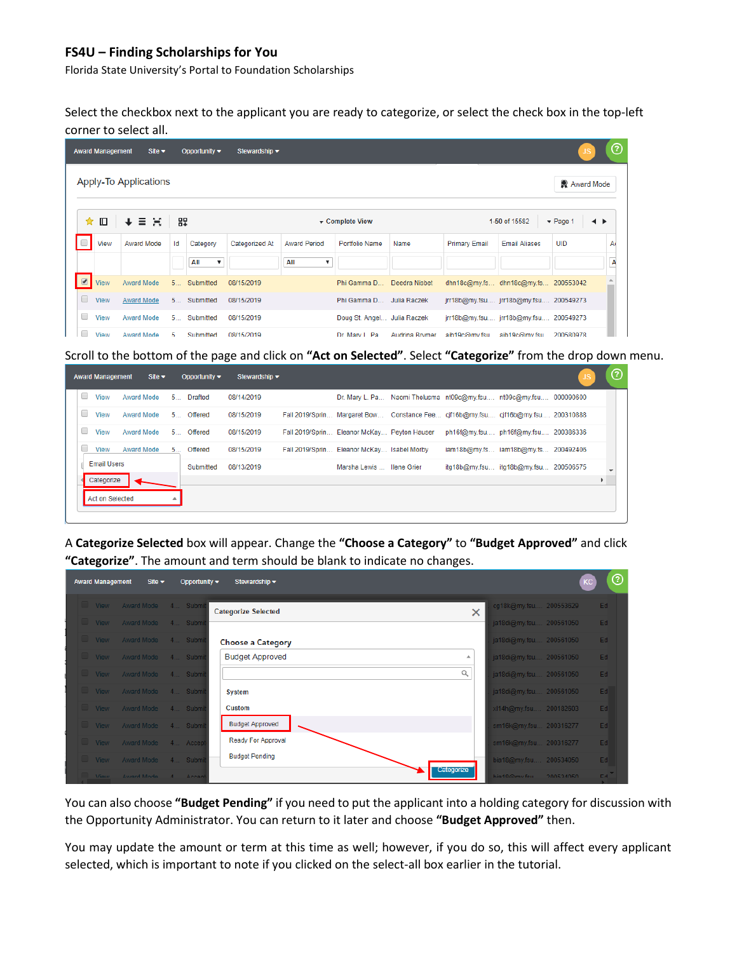Florida State University's Portal to Foundation Scholarships

Select the checkbox next to the applicant you are ready to categorize, or select the check box in the top-left corner to select all.

|                         | <b>Award Management</b>      | Site $\blacktriangleright$ |    | Opportunity $\blacktriangledown$ | Stewardship $\blacktriangleright$ |                     |                             |                |                      |                                       | US.                              | ℗      |
|-------------------------|------------------------------|----------------------------|----|----------------------------------|-----------------------------------|---------------------|-----------------------------|----------------|----------------------|---------------------------------------|----------------------------------|--------|
|                         | <b>Apply-To Applications</b> |                            |    |                                  |                                   |                     |                             |                |                      |                                       | Award Mode                       |        |
| ✿                       | 旧                            | 目質                         | 82 |                                  |                                   |                     | ▼ Complete View             |                |                      | 1-50 of 15582                         | $\blacktriangledown$ Page 1<br>◂ | ▸      |
| $\Box$                  | View                         | Award Mode                 | Id | Category                         | Categorized At                    | <b>Award Period</b> | <b>Portfolio Name</b>       | Name           | <b>Primary Email</b> | <b>Email Aliases</b>                  | <b>UID</b>                       | A      |
|                         |                              |                            |    | All<br>$\boldsymbol{\mathrm{v}}$ |                                   | All<br>▼            |                             |                |                      |                                       |                                  | A<br>_ |
| $\overline{\mathbf{v}}$ | <b>View</b>                  | Award Mode                 |    | 5 Submitted                      | 08/15/2019                        |                     | Phi Gamma D                 | Deedra Nisbet  |                      | dhn18c@my.fs dhn18c@my.fs 200553042   |                                  |        |
| u                       | <b>View</b>                  | <b>Award Mode</b>          |    | 5 Submitted                      | 08/15/2019                        |                     | Phi Gamma D                 | Julia Raczek   |                      | jrr18b@my.fsu jrr18b@my.fsu 200549273 |                                  |        |
| O                       | View                         | <b>Award Mode</b>          | 5  | Submitted                        | 08/15/2019                        |                     | Doug St. Angel Julia Raczek |                |                      | jrr18b@my.fsu jrr18b@my.fsu 200549273 |                                  |        |
|                         | View                         | Award Mode                 | 5. | Submitted                        | 08/15/2019                        |                     | Dr Mary L. Pa.              | Audrina Brymer | aih19c@mv fsu        | aib19c@mv fsu                         | 200580978                        |        |

Scroll to the bottom of the page and click on **"Act on Selected"**. Select **"Categorize"** from the drop down menu.

|        | <b>Award Management</b> |            | Site $\blacktriangleright$ | Opportunity $\blacktriangleright$ | Stewardship $\blacktriangleright$ |                                                                                    | $\circled{?}$ |
|--------|-------------------------|------------|----------------------------|-----------------------------------|-----------------------------------|------------------------------------------------------------------------------------|---------------|
| 0      | View                    | Award Mode |                            | 5 Drafted                         | 08/14/2019                        | Dr. Mary L. Pa Naomi Thelusma nt09c@my.fsu nt09c@my.fsu 000090600                  |               |
| 0      | <b>View</b>             | Award Mode |                            | 5 Offered                         | 08/15/2019                        | Fall 2019/Sprin Margaret Bow Constance Fee cjf16b@my.fsu cjf16b@my.fsu 200310888   |               |
| $\Box$ | View                    | Award Mode |                            | 5. Offered                        | 08/15/2019                        | Fall 2019/Sprin Eleanor McKay Peyton Hauser<br>ph16f@my.fsu ph16f@my.fsu 200386336 |               |
| O      | View                    | Award Mode |                            | 5 Offered                         | 08/15/2019                        | iam18b@my.fs iam18b@my.fs 200492406<br>Fall 2019/Sprin Eleanor McKay Isabel Morby  |               |
|        | <b>Email Users</b>      |            |                            | Submitted                         | 08/13/2019                        | itg18b@my.fsu itg18b@my.fsu 200506575<br>Marsha Lewis Hene Grier                   |               |
|        | Categorize              |            |                            |                                   |                                   |                                                                                    |               |
|        | <b>Act on Selected</b>  |            |                            |                                   |                                   |                                                                                    |               |
|        |                         |            |                            |                                   |                                   |                                                                                    |               |

A **Categorize Selected** box will appear. Change the **"Choose a Category"** to **"Budget Approved"** and click **"Categorize"**. The amount and term should be blank to indicate no changes.

| <b>Award Management</b><br>Site $\blacktriangleright$<br>Opportunity $\blacktriangledown$ | Stewardship $\blacktriangledown$       | KC                         | $\odot$ |
|-------------------------------------------------------------------------------------------|----------------------------------------|----------------------------|---------|
| View Award Mode 4 Submit                                                                  | <b>Categorize Selected</b><br>$\times$ | cg18k@my.fsu 200553629     | Ed      |
| View Award Mode 4 Submit                                                                  |                                        | ja18di@my.fsu 200561050    | Ed      |
| View Award Mode 4 Submit                                                                  | <b>Choose a Category</b>               | ja18di@my.fsu 200561050    | Ed      |
| View Award Mode 4 Submit                                                                  | <b>Budget Approved</b><br>∸            | ja18di@my.fsu 200561050    | Ed      |
| View Award Mode 4 Submit                                                                  | $\alpha$                               | ja18di@my.fsu 200561050    | Ed      |
| View Award Mode 4 Submi                                                                   | <b>System</b>                          | ja18di@my.fsu 200561050    | Ed      |
| View Award Mode 4 Submi                                                                   | Custom                                 | xl14h@my.fsu 200182603     | Ed      |
| View Award Mode 4 Submi                                                                   | <b>Budget Approved</b>                 | sm16k@my.fsu 200316277     | Ed      |
| View Award Mode 4 Accept                                                                  | Ready For Approval                     | sm16k@my.fsu 200316277     | Ed      |
| View Award Mode 4 Submi                                                                   | <b>Budget Pending</b>                  | bia18@my.fsu 200534050     | Ed      |
| <b>Award Mode</b><br><b>View</b><br>A Accent                                              | Categorize                             | hig19@my feu.<br>200534050 | Ed.     |

You can also choose **"Budget Pending"** if you need to put the applicant into a holding category for discussion with the Opportunity Administrator. You can return to it later and choose **"Budget Approved"** then.

You may update the amount or term at this time as well; however, if you do so, this will affect every applicant selected, which is important to note if you clicked on the select-all box earlier in the tutorial.